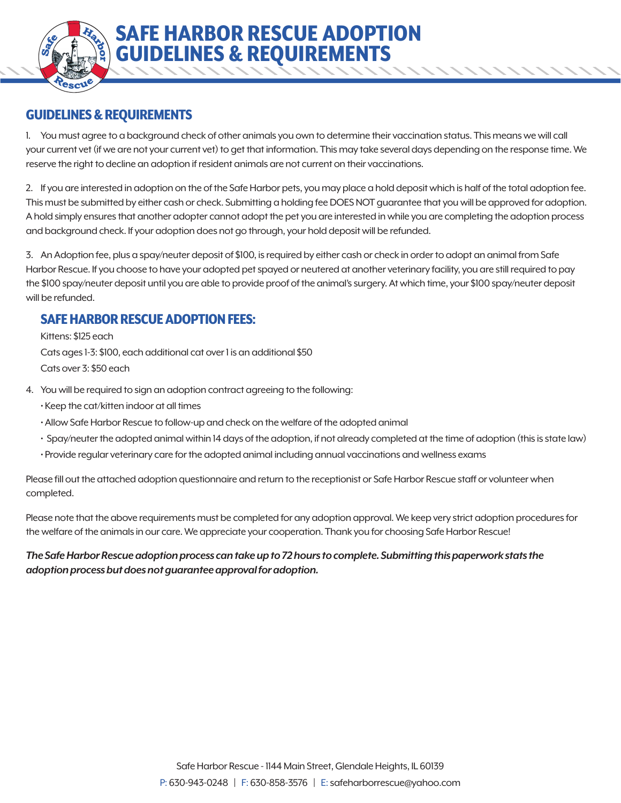## GUIDELINES & REQUIREMENTS

1. You must agree to a background check of other animals you own to determine their vaccination status. This means we will call your current vet (if we are not your current vet) to get that information. This may take several days depending on the response time. We reserve the right to decline an adoption if resident animals are not current on their vaccinations.

SAFE HARBOR RESCUE ADOPTION

GUIDELINES & REQUIREMENTS

2. If you are interested in adoption on the of the Safe Harbor pets, you may place a hold deposit which is half of the total adoption fee. This must be submitted by either cash or check. Submitting a holding fee DOES NOT guarantee that you will be approved for adoption. A hold simply ensures that another adopter cannot adopt the pet you are interested in while you are completing the adoption process and background check. If your adoption does not go through, your hold deposit will be refunded.

3. An Adoption fee, plus a spay/neuter deposit of \$100, is required by either cash or check in order to adopt an animal from Safe Harbor Rescue. If you choose to have your adopted pet spayed or neutered at another veterinary facility, you are still required to pay the \$100 spay/neuter deposit until you are able to provide proof of the animal's surgery. At which time, your \$100 spay/neuter deposit will be refunded.

## SAFE HARBOR RESCUE ADOPTION FEES:

 Kittens: \$125 each Cats ages 1-3: \$100, each additional cat over 1 is an additional \$50 Cats over 3: \$50 each

- 4. You will be required to sign an adoption contract agreeing to the following:
	- Keep the cat/kitten indoor at all times
	- Allow Safe Harbor Rescue to follow-up and check on the welfare of the adopted animal
	- Spay/neuter the adopted animal within 14 days of the adoption, if not already completed at the time of adoption (this is state law)
	- Provide regular veterinary care for the adopted animal including annual vaccinations and wellness exams

Please fill out the attached adoption questionnaire and return to the receptionist or Safe Harbor Rescue staff or volunteer when completed.

Please note that the above requirements must be completed for any adoption approval. We keep very strict adoption procedures for the welfare of the animals in our care. We appreciate your cooperation. Thank you for choosing Safe Harbor Rescue!

## *The Safe Harbor Rescue adoption process can take up to 72 hours to complete. Submitting this paperwork stats the adoption process but does not guarantee approval for adoption.*